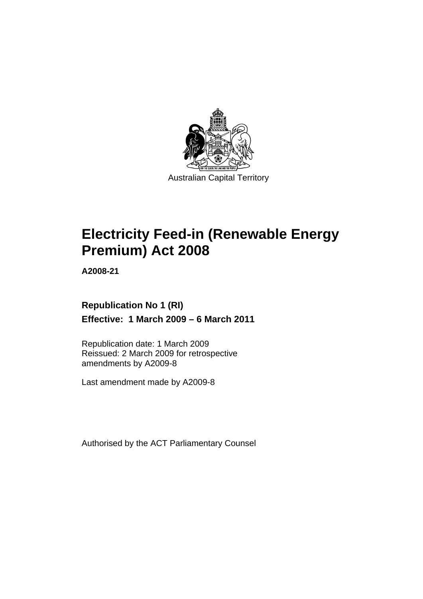

# **[Electricity Feed-in \(Renewable Energy](#page-4-0)  [Premium\) Act 2008](#page-4-0)**

**A2008-21** 

# **Republication No 1 (RI) Effective: 1 March 2009 – 6 March 2011**

Republication date: 1 March 2009 Reissued: 2 March 2009 for retrospective amendments by A2009-8

Last amendment made by A2009-8

Authorised by the ACT Parliamentary Counsel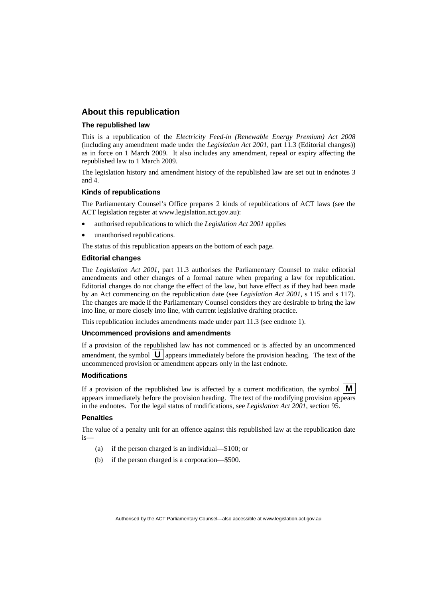#### **About this republication**

#### **The republished law**

This is a republication of the *Electricity Feed-in (Renewable Energy Premium) Act 2008* (including any amendment made under the *Legislation Act 2001*, part 11.3 (Editorial changes)) as in force on 1 March 2009*.* It also includes any amendment, repeal or expiry affecting the republished law to 1 March 2009.

The legislation history and amendment history of the republished law are set out in endnotes 3 and 4.

#### **Kinds of republications**

The Parliamentary Counsel's Office prepares 2 kinds of republications of ACT laws (see the ACT legislation register at www.legislation.act.gov.au):

- authorised republications to which the *Legislation Act 2001* applies
- unauthorised republications.

The status of this republication appears on the bottom of each page.

#### **Editorial changes**

The *Legislation Act 2001*, part 11.3 authorises the Parliamentary Counsel to make editorial amendments and other changes of a formal nature when preparing a law for republication. Editorial changes do not change the effect of the law, but have effect as if they had been made by an Act commencing on the republication date (see *Legislation Act 2001*, s 115 and s 117). The changes are made if the Parliamentary Counsel considers they are desirable to bring the law into line, or more closely into line, with current legislative drafting practice.

This republication includes amendments made under part 11.3 (see endnote 1).

#### **Uncommenced provisions and amendments**

If a provision of the republished law has not commenced or is affected by an uncommenced amendment, the symbol  $\mathbf{U}$  appears immediately before the provision heading. The text of the uncommenced provision  $\overline{or}$  amendment appears only in the last endnote.

#### **Modifications**

If a provision of the republished law is affected by a current modification, the symbol  $\mathbf{M}$ appears immediately before the provision heading. The text of the modifying provision appears in the endnotes. For the legal status of modifications, see *Legislation Act 2001*, section 95.

#### **Penalties**

The value of a penalty unit for an offence against this republished law at the republication date is—

- (a) if the person charged is an individual—\$100; or
- (b) if the person charged is a corporation—\$500.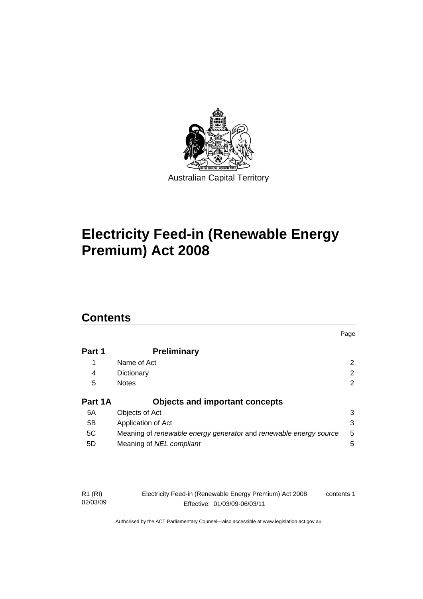

# **[Electricity Feed-in \(Renewable Energy](#page-4-0)  [Premium\) Act 2008](#page-4-0)**

# **Contents**

|         |                                                                   | Page |
|---------|-------------------------------------------------------------------|------|
| Part 1  | <b>Preliminary</b>                                                |      |
|         | Name of Act                                                       | 2    |
| 4       | Dictionary                                                        | 2    |
| 5       | <b>Notes</b>                                                      | 2    |
| Part 1A | <b>Objects and important concepts</b>                             |      |
| 5A      | Objects of Act                                                    | 3    |
| 5B      | Application of Act                                                | 3    |
| 5C      | Meaning of renewable energy generator and renewable energy source | 5    |
| 5D      | Meaning of NEL compliant                                          | 5    |

| R1 (RI)  | Electricity Feed-in (Renewable Energy Premium) Act 2008 | contents 1 |
|----------|---------------------------------------------------------|------------|
| 02/03/09 | Effective: 01/03/09-06/03/11                            |            |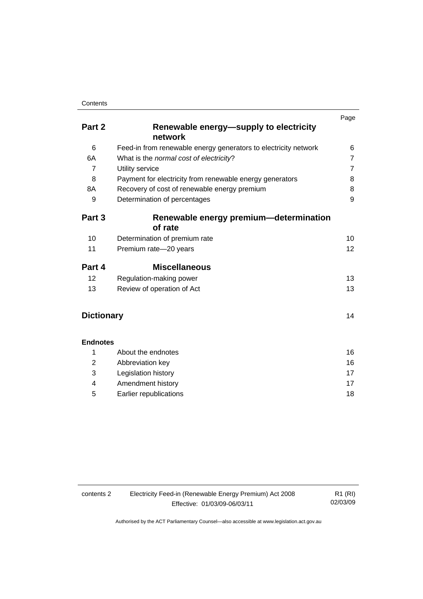|                   |                                                                 | Page           |
|-------------------|-----------------------------------------------------------------|----------------|
| Part 2            | Renewable energy—supply to electricity<br>network               |                |
| 6                 | Feed-in from renewable energy generators to electricity network | 6              |
| 6A                | What is the normal cost of electricity?                         | $\overline{7}$ |
| $\overline{7}$    | Utility service                                                 | $\overline{7}$ |
| 8                 | Payment for electricity from renewable energy generators        | 8              |
| 8A                | Recovery of cost of renewable energy premium                    | 8              |
| 9                 | Determination of percentages                                    | 9              |
| Part 3            | Renewable energy premium-determination                          |                |
|                   | of rate                                                         |                |
| 10                | Determination of premium rate                                   | 10             |
| 11                | Premium rate-20 years                                           | 12             |
| Part 4            | <b>Miscellaneous</b>                                            |                |
| 12                | Regulation-making power                                         | 13             |
| 13                | Review of operation of Act                                      | 13             |
| <b>Dictionary</b> |                                                                 | 14             |
| <b>Endnotes</b>   |                                                                 |                |
| 1                 | About the endnotes                                              | 16             |
| $\overline{2}$    | Abbreviation key                                                | 16             |
| 3                 | Legislation history                                             | 17             |
| 4                 | Amendment history                                               | 17             |
| 5                 | Earlier republications                                          | 18             |
|                   |                                                                 |                |

| Electricity Feed-in (Renewable Energy Premium) Act 2008<br>contents 2 |                              | R1 (RI)  |
|-----------------------------------------------------------------------|------------------------------|----------|
|                                                                       | Effective: 01/03/09-06/03/11 | 02/03/09 |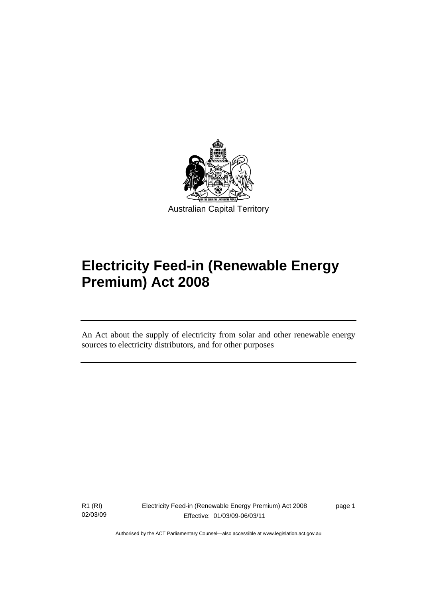<span id="page-4-0"></span>

# **Electricity Feed-in (Renewable Energy Premium) Act 2008**

An Act about the supply of electricity from solar and other renewable energy sources to electricity distributors, and for other purposes

R1 (RI) 02/03/09

Ī

Electricity Feed-in (Renewable Energy Premium) Act 2008 Effective: 01/03/09-06/03/11

page 1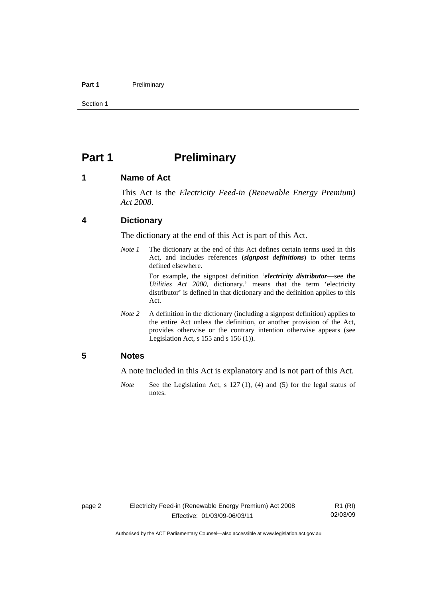#### <span id="page-5-0"></span>Part 1 **Preliminary**

Section 1

# **Part 1** Preliminary

#### **1 Name of Act**

This Act is the *Electricity Feed-in (Renewable Energy Premium) Act 2008*.

#### **4 Dictionary**

The dictionary at the end of this Act is part of this Act.

*Note 1* The dictionary at the end of this Act defines certain terms used in this Act, and includes references (*signpost definitions*) to other terms defined elsewhere.

> For example, the signpost definition '*electricity distributor*—see the *Utilities Act 2000*, dictionary.' means that the term 'electricity distributor' is defined in that dictionary and the definition applies to this Act.

*Note 2* A definition in the dictionary (including a signpost definition) applies to the entire Act unless the definition, or another provision of the Act, provides otherwise or the contrary intention otherwise appears (see Legislation Act,  $s$  155 and  $s$  156 (1)).

### **5 Notes**

A note included in this Act is explanatory and is not part of this Act.

*Note* See the Legislation Act, s 127 (1), (4) and (5) for the legal status of notes.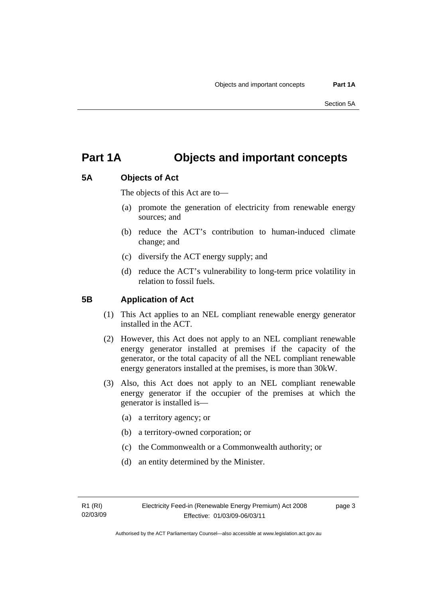page 3

# <span id="page-6-0"></span>**Part 1A Objects and important concepts**

# **5A Objects of Act**

The objects of this Act are to—

- (a) promote the generation of electricity from renewable energy sources; and
- (b) reduce the ACT's contribution to human-induced climate change; and
- (c) diversify the ACT energy supply; and
- (d) reduce the ACT's vulnerability to long-term price volatility in relation to fossil fuels.

## **5B Application of Act**

- (1) This Act applies to an NEL compliant renewable energy generator installed in the ACT.
- (2) However, this Act does not apply to an NEL compliant renewable energy generator installed at premises if the capacity of the generator, or the total capacity of all the NEL compliant renewable energy generators installed at the premises, is more than 30kW.
- (3) Also, this Act does not apply to an NEL compliant renewable energy generator if the occupier of the premises at which the generator is installed is—
	- (a) a territory agency; or
	- (b) a territory-owned corporation; or
	- (c) the Commonwealth or a Commonwealth authority; or
	- (d) an entity determined by the Minister.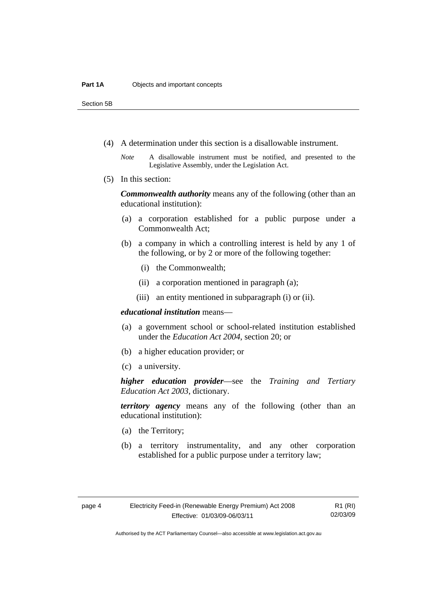Section 5B

- (4) A determination under this section is a disallowable instrument.
	- *Note* A disallowable instrument must be notified, and presented to the Legislative Assembly, under the Legislation Act.
- (5) In this section:

*Commonwealth authority* means any of the following (other than an educational institution):

- (a) a corporation established for a public purpose under a Commonwealth Act;
- (b) a company in which a controlling interest is held by any 1 of the following, or by 2 or more of the following together:
	- (i) the Commonwealth;
	- (ii) a corporation mentioned in paragraph (a);
	- (iii) an entity mentioned in subparagraph (i) or (ii).

#### *educational institution* means—

- (a) a government school or school-related institution established under the *Education Act 2004*, section 20; or
- (b) a higher education provider; or
- (c) a university.

*higher education provider*—see the *Training and Tertiary Education Act 2003*, dictionary.

*territory agency* means any of the following (other than an educational institution):

- (a) the Territory;
- (b) a territory instrumentality, and any other corporation established for a public purpose under a territory law;

R1 (RI) 02/03/09

Authorised by the ACT Parliamentary Counsel—also accessible at www.legislation.act.gov.au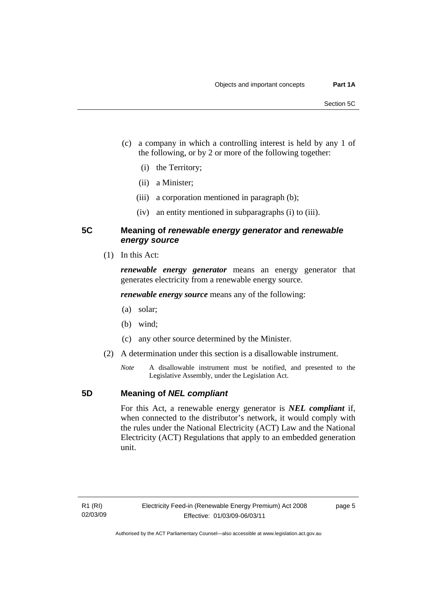- <span id="page-8-0"></span> (c) a company in which a controlling interest is held by any 1 of the following, or by 2 or more of the following together:
	- (i) the Territory;
	- (ii) a Minister;
	- (iii) a corporation mentioned in paragraph (b);
	- (iv) an entity mentioned in subparagraphs (i) to (iii).

## **5C Meaning of** *renewable energy generator* **and** *renewable energy source*

(1) In this Act:

*renewable energy generator* means an energy generator that generates electricity from a renewable energy source.

*renewable energy source* means any of the following:

- (a) solar;
- (b) wind;
- (c) any other source determined by the Minister.
- (2) A determination under this section is a disallowable instrument.
	- *Note* A disallowable instrument must be notified, and presented to the Legislative Assembly, under the Legislation Act.

## **5D Meaning of** *NEL compliant*

For this Act, a renewable energy generator is *NEL compliant* if, when connected to the distributor's network, it would comply with the rules under the National Electricity (ACT) Law and the National Electricity (ACT) Regulations that apply to an embedded generation unit.

page 5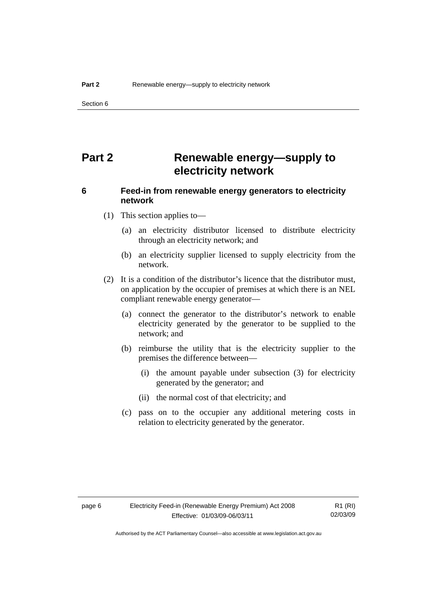<span id="page-9-0"></span>Section 6

# **Part 2 Renewable energy—supply to electricity network**

# **6 Feed-in from renewable energy generators to electricity network**

- (1) This section applies to—
	- (a) an electricity distributor licensed to distribute electricity through an electricity network; and
	- (b) an electricity supplier licensed to supply electricity from the network.
- (2) It is a condition of the distributor's licence that the distributor must, on application by the occupier of premises at which there is an NEL compliant renewable energy generator—
	- (a) connect the generator to the distributor's network to enable electricity generated by the generator to be supplied to the network; and
	- (b) reimburse the utility that is the electricity supplier to the premises the difference between—
		- (i) the amount payable under subsection (3) for electricity generated by the generator; and
		- (ii) the normal cost of that electricity; and
	- (c) pass on to the occupier any additional metering costs in relation to electricity generated by the generator.

R1 (RI) 02/03/09

Authorised by the ACT Parliamentary Counsel—also accessible at www.legislation.act.gov.au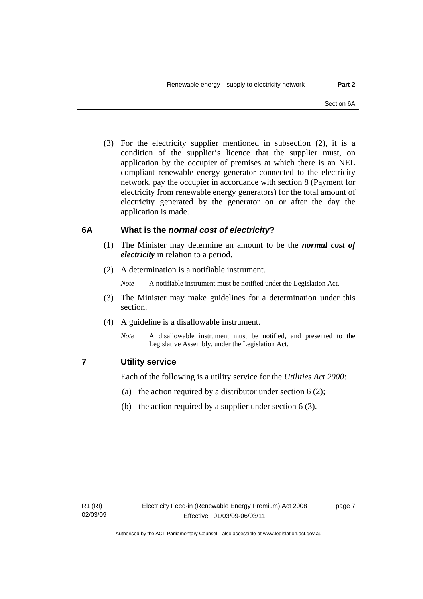<span id="page-10-0"></span> (3) For the electricity supplier mentioned in subsection (2), it is a condition of the supplier's licence that the supplier must, on application by the occupier of premises at which there is an NEL compliant renewable energy generator connected to the electricity network, pay the occupier in accordance with section 8 (Payment for electricity from renewable energy generators) for the total amount of electricity generated by the generator on or after the day the application is made.

## **6A What is the** *normal cost of electricity***?**

- (1) The Minister may determine an amount to be the *normal cost of electricity* in relation to a period.
- (2) A determination is a notifiable instrument.
	- *Note* A notifiable instrument must be notified under the Legislation Act.
- (3) The Minister may make guidelines for a determination under this section.
- (4) A guideline is a disallowable instrument.
	- *Note* A disallowable instrument must be notified, and presented to the Legislative Assembly, under the Legislation Act.

## **7 Utility service**

Each of the following is a utility service for the *Utilities Act 2000*:

- (a) the action required by a distributor under section  $6(2)$ ;
- (b) the action required by a supplier under section 6 (3).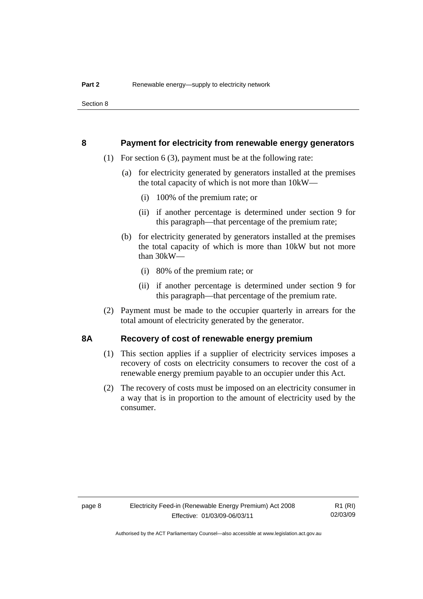<span id="page-11-0"></span>Section 8

#### **8 Payment for electricity from renewable energy generators**

- (1) For section 6 (3), payment must be at the following rate:
	- (a) for electricity generated by generators installed at the premises the total capacity of which is not more than 10kW—
		- (i) 100% of the premium rate; or
		- (ii) if another percentage is determined under section 9 for this paragraph—that percentage of the premium rate;
	- (b) for electricity generated by generators installed at the premises the total capacity of which is more than 10kW but not more than 30kW—
		- (i) 80% of the premium rate; or
		- (ii) if another percentage is determined under section 9 for this paragraph—that percentage of the premium rate.
- (2) Payment must be made to the occupier quarterly in arrears for the total amount of electricity generated by the generator.

#### **8A Recovery of cost of renewable energy premium**

- (1) This section applies if a supplier of electricity services imposes a recovery of costs on electricity consumers to recover the cost of a renewable energy premium payable to an occupier under this Act.
- (2) The recovery of costs must be imposed on an electricity consumer in a way that is in proportion to the amount of electricity used by the consumer.

R1 (RI) 02/03/09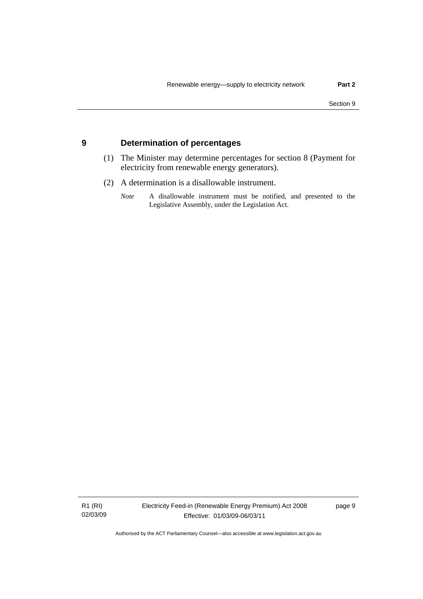#### <span id="page-12-0"></span>**9 Determination of percentages**

- (1) The Minister may determine percentages for section 8 (Payment for electricity from renewable energy generators).
- (2) A determination is a disallowable instrument.
	- *Note* A disallowable instrument must be notified, and presented to the Legislative Assembly, under the Legislation Act.

R1 (RI) 02/03/09 Electricity Feed-in (Renewable Energy Premium) Act 2008 Effective: 01/03/09-06/03/11

page 9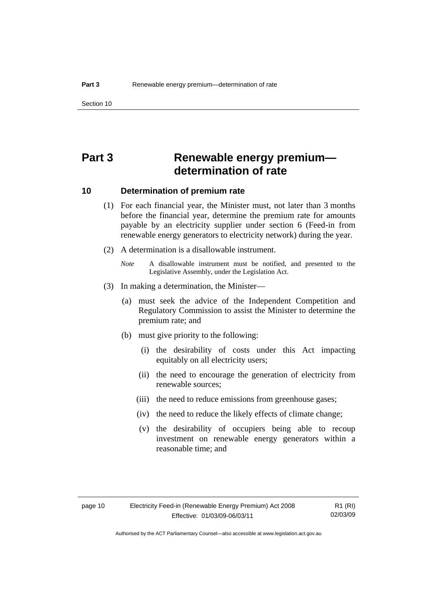# <span id="page-13-0"></span>**Part 3 Renewable energy premium determination of rate**

#### **10 Determination of premium rate**

- (1) For each financial year, the Minister must, not later than 3 months before the financial year, determine the premium rate for amounts payable by an electricity supplier under section 6 (Feed-in from renewable energy generators to electricity network) during the year.
- (2) A determination is a disallowable instrument.
	- *Note* A disallowable instrument must be notified, and presented to the Legislative Assembly, under the Legislation Act.
- (3) In making a determination, the Minister—
	- (a) must seek the advice of the Independent Competition and Regulatory Commission to assist the Minister to determine the premium rate; and
	- (b) must give priority to the following:
		- (i) the desirability of costs under this Act impacting equitably on all electricity users;
		- (ii) the need to encourage the generation of electricity from renewable sources;
		- (iii) the need to reduce emissions from greenhouse gases;
		- (iv) the need to reduce the likely effects of climate change;
		- (v) the desirability of occupiers being able to recoup investment on renewable energy generators within a reasonable time; and

R1 (RI) 02/03/09

Authorised by the ACT Parliamentary Counsel—also accessible at www.legislation.act.gov.au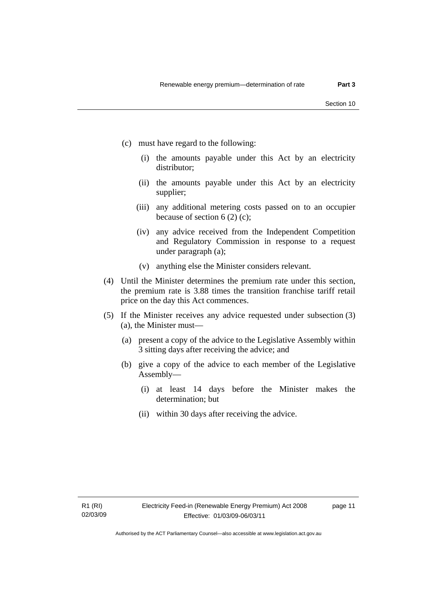- (c) must have regard to the following:
	- (i) the amounts payable under this Act by an electricity distributor;
	- (ii) the amounts payable under this Act by an electricity supplier;
	- (iii) any additional metering costs passed on to an occupier because of section  $6(2)(c)$ ;
	- (iv) any advice received from the Independent Competition and Regulatory Commission in response to a request under paragraph (a);
	- (v) anything else the Minister considers relevant.
- (4) Until the Minister determines the premium rate under this section, the premium rate is 3.88 times the transition franchise tariff retail price on the day this Act commences.
- (5) If the Minister receives any advice requested under subsection (3) (a), the Minister must—
	- (a) present a copy of the advice to the Legislative Assembly within 3 sitting days after receiving the advice; and
	- (b) give a copy of the advice to each member of the Legislative Assembly—
		- (i) at least 14 days before the Minister makes the determination; but
		- (ii) within 30 days after receiving the advice.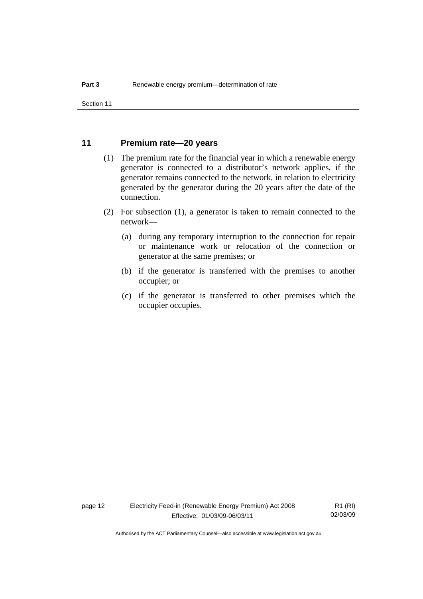#### <span id="page-15-0"></span>**11 Premium rate—20 years**

- (1) The premium rate for the financial year in which a renewable energy generator is connected to a distributor's network applies, if the generator remains connected to the network, in relation to electricity generated by the generator during the 20 years after the date of the connection.
- (2) For subsection (1), a generator is taken to remain connected to the network—
	- (a) during any temporary interruption to the connection for repair or maintenance work or relocation of the connection or generator at the same premises; or
	- (b) if the generator is transferred with the premises to another occupier; or
	- (c) if the generator is transferred to other premises which the occupier occupies.

page 12 Electricity Feed-in (Renewable Energy Premium) Act 2008 Effective: 01/03/09-06/03/11

R1 (RI) 02/03/09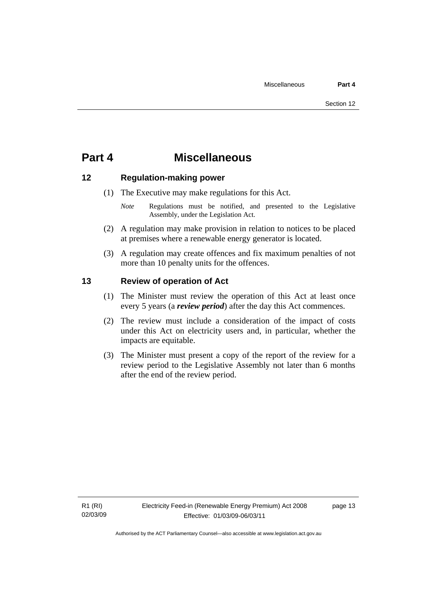# <span id="page-16-0"></span>**Part 4 Miscellaneous**

### **12 Regulation-making power**

- (1) The Executive may make regulations for this Act.
	- *Note* **Regulations** must be notified, and presented to the Legislative Assembly, under the Legislation Act.
- (2) A regulation may make provision in relation to notices to be placed at premises where a renewable energy generator is located.
- (3) A regulation may create offences and fix maximum penalties of not more than 10 penalty units for the offences.

### **13 Review of operation of Act**

- (1) The Minister must review the operation of this Act at least once every 5 years (a *review period*) after the day this Act commences.
- (2) The review must include a consideration of the impact of costs under this Act on electricity users and, in particular, whether the impacts are equitable.
- (3) The Minister must present a copy of the report of the review for a review period to the Legislative Assembly not later than 6 months after the end of the review period.

page 13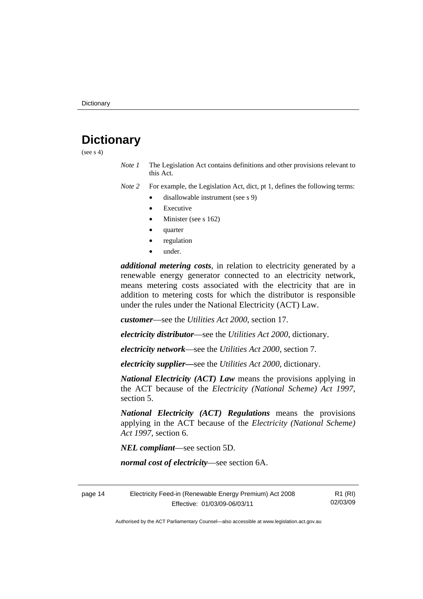# <span id="page-17-0"></span>**Dictionary**

(see  $s$  4)

*Note 1* The Legislation Act contains definitions and other provisions relevant to this Act.

*Note 2* For example, the Legislation Act, dict, pt 1, defines the following terms:

- disallowable instrument (see s 9)
- **Executive**
- Minister (see s 162)
- quarter
- regulation
- under.

*additional metering costs*, in relation to electricity generated by a renewable energy generator connected to an electricity network, means metering costs associated with the electricity that are in addition to metering costs for which the distributor is responsible under the rules under the National Electricity (ACT) Law.

*customer*—see the *Utilities Act 2000*, section 17.

*electricity distributor*—see the *Utilities Act 2000*, dictionary.

*electricity network*—see the *Utilities Act 2000*, section 7.

*electricity supplier***—**see the *Utilities Act 2000*, dictionary.

*National Electricity (ACT) Law* means the provisions applying in the ACT because of the *Electricity (National Scheme) Act 1997*, section 5.

*National Electricity (ACT) Regulations* means the provisions applying in the ACT because of the *Electricity (National Scheme) Act 1997*, section 6.

*NEL compliant*—see section 5D.

*normal cost of electricity*—see section 6A.

| Electricity Feed-in (Renewable Energy Premium) Act 2008<br>page 14 |                              | R1 (RI)  |
|--------------------------------------------------------------------|------------------------------|----------|
|                                                                    | Effective: 01/03/09-06/03/11 | 02/03/09 |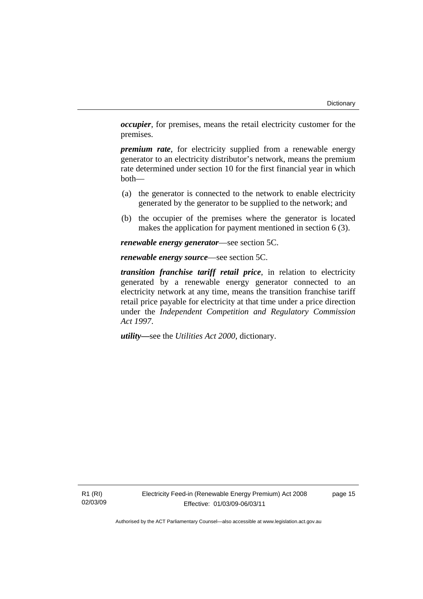*occupier*, for premises, means the retail electricity customer for the premises.

*premium rate*, for electricity supplied from a renewable energy generator to an electricity distributor's network, means the premium rate determined under section 10 for the first financial year in which both—

- (a) the generator is connected to the network to enable electricity generated by the generator to be supplied to the network; and
- (b) the occupier of the premises where the generator is located makes the application for payment mentioned in section 6 (3).

*renewable energy generator*—see section 5C.

*renewable energy source*—see section 5C.

*transition franchise tariff retail price*, in relation to electricity generated by a renewable energy generator connected to an electricity network at any time, means the transition franchise tariff retail price payable for electricity at that time under a price direction under the *Independent Competition and Regulatory Commission Act 1997*.

*utility***—**see the *Utilities Act 2000*, dictionary.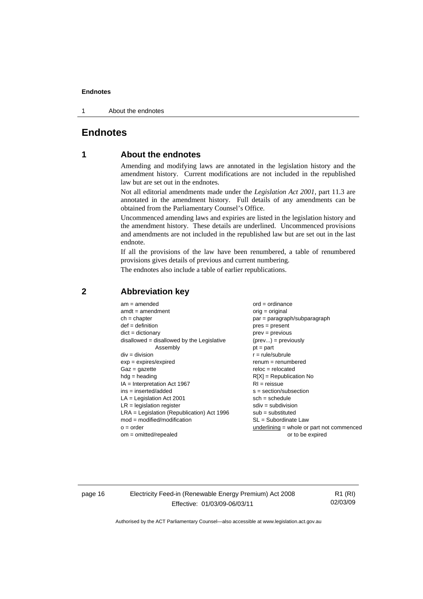#### <span id="page-19-0"></span>**Endnotes**

1 About the endnotes

### **Endnotes**

### **1 About the endnotes**

Amending and modifying laws are annotated in the legislation history and the amendment history. Current modifications are not included in the republished law but are set out in the endnotes.

Not all editorial amendments made under the *Legislation Act 2001*, part 11.3 are annotated in the amendment history. Full details of any amendments can be obtained from the Parliamentary Counsel's Office.

Uncommenced amending laws and expiries are listed in the legislation history and the amendment history. These details are underlined. Uncommenced provisions and amendments are not included in the republished law but are set out in the last endnote.

If all the provisions of the law have been renumbered, a table of renumbered provisions gives details of previous and current numbering.

The endnotes also include a table of earlier republications.

| $am = amended$                               | $ord = ordinance$                           |
|----------------------------------------------|---------------------------------------------|
| $amdt = amendment$                           | orig = original                             |
| $ch = chapter$                               | $par = paragraph/subparagraph$              |
| $def = definition$                           | $pres = present$                            |
| $dict = dictionary$                          | $prev = previous$                           |
| disallowed = disallowed by the Legislative   | $(\text{prev}) = \text{previously}$         |
| Assembly                                     | $pt = part$                                 |
| $div = division$                             | $r = rule/subrule$                          |
| $exp = expires/expired$                      | $remum = renumbered$                        |
| $Gaz = gazette$                              | $reloc = relocated$                         |
| $hdg =$ heading                              | $R[X]$ = Republication No                   |
| $IA = Interpretation Act 1967$               | $RI = reissue$                              |
| $ins = inserted/added$                       | $s = section/subsection$                    |
| $LA =$ Legislation Act 2001                  | $sch = schedule$                            |
| $LR =$ legislation register                  | $sdiv = subdivision$                        |
| $LRA =$ Legislation (Republication) Act 1996 | $sub =$ substituted                         |
| $mod = modified/modification$                | SL = Subordinate Law                        |
| $o = order$                                  | underlining $=$ whole or part not commenced |
| $om = omitted/repealed$                      | or to be expired                            |
|                                              |                                             |

#### **2 Abbreviation key**

page 16 Electricity Feed-in (Renewable Energy Premium) Act 2008 Effective: 01/03/09-06/03/11

R1 (RI) 02/03/09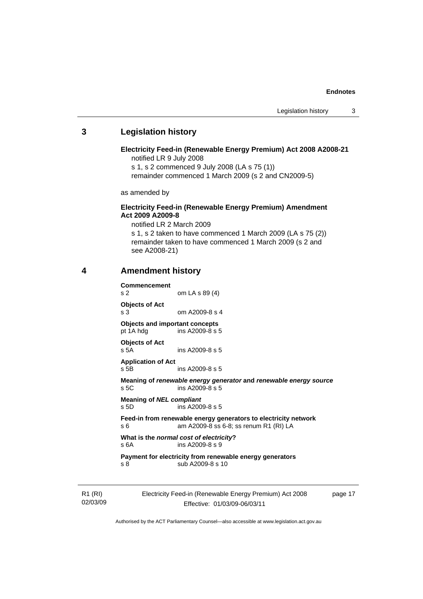#### **Endnotes**

#### <span id="page-20-0"></span>**3 Legislation history**

**Electricity Feed-in (Renewable Energy Premium) Act 2008 A2008-21**  notified LR 9 July 2008

s 1, s 2 commenced 9 July 2008 (LA s 75 (1))

remainder commenced 1 March 2009 (s 2 and CN2009-5)

as amended by

#### **Electricity Feed-in (Renewable Energy Premium) Amendment Act 2009 A2009-8**

notified LR 2 March 2009

s 1, s 2 taken to have commenced 1 March 2009 (LA s 75 (2)) remainder taken to have commenced 1 March 2009 (s 2 and see A2008-21)

### **4 Amendment history**

| <b>Commencement</b><br>s <sub>2</sub>              | om LA s 89 (4)                                                                                            |         |
|----------------------------------------------------|-----------------------------------------------------------------------------------------------------------|---------|
| <b>Objects of Act</b><br>s <sub>3</sub>            | om $A2009-8$ s 4                                                                                          |         |
| <b>Objects and important concepts</b><br>pt 1A hdg | ins A2009-8 s 5                                                                                           |         |
| <b>Objects of Act</b><br>s 5A                      | ins A2009-8 s 5                                                                                           |         |
| <b>Application of Act</b><br>$s$ 5B                | ins A2009-8 s 5                                                                                           |         |
| s <sub>5C</sub>                                    | Meaning of renewable energy generator and renewable energy source<br>ins A2009-8 s 5                      |         |
| <b>Meaning of NEL compliant</b><br>$s$ 5D          | ins A2009-8 s 5                                                                                           |         |
| s 6                                                | Feed-in from renewable energy generators to electricity network<br>am A2009-8 ss 6-8; ss renum R1 (RI) LA |         |
| S <sub>6A</sub>                                    | What is the normal cost of electricity?<br>ins $A2009-8$ s 9                                              |         |
| s <sub>8</sub>                                     | Payment for electricity from renewable energy generators<br>sub A2009-8 s 10                              |         |
|                                                    | Electricity Feed-in (Renewable Energy Premium) Act 2008                                                   | page 17 |

R1 (RI) 02/03/09

Effective: 01/03/09-06/03/11